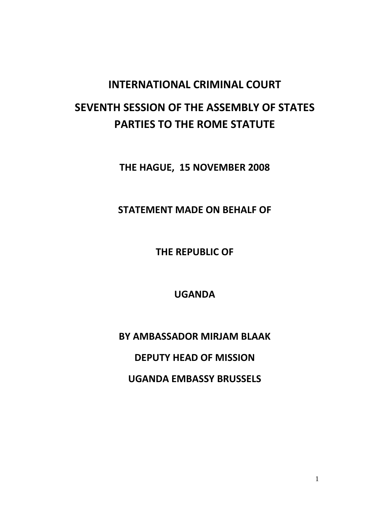## INTERNATIONAL CRIMINAL COURT SEVENTH SESSION OF THE ASSEMBLY OF STATES PARTIES TO THE ROME STATUTE

THE HAGUE, 15 NOVEMBER 2008

STATEMENT MADE ON BEHALF OF

THE REPUBLIC OF

UGANDA

BY AMBASSADOR MIRJAM BLAAK

DEPUTY HEAD OF MISSION

UGANDA EMBASSY BRUSSELS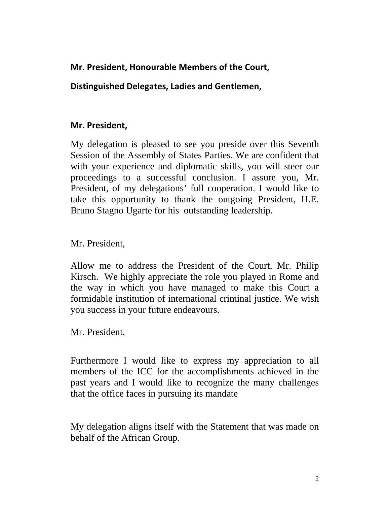## Mr. President, Honourable Members of the Court,

## Distinguished Delegates, Ladies and Gentlemen,

## Mr. President,

My delegation is pleased to see you preside over this Seventh Session of the Assembly of States Parties. We are confident that with your experience and diplomatic skills, you will steer our proceedings to a successful conclusion. I assure you, Mr. President, of my delegations' full cooperation. I would like to take this opportunity to thank the outgoing President, H.E. Bruno Stagno Ugarte for his outstanding leadership.

Mr. President,

Allow me to address the President of the Court, Mr. Philip Kirsch. We highly appreciate the role you played in Rome and the way in which you have managed to make this Court a formidable institution of international criminal justice. We wish you success in your future endeavours.

Mr. President,

Furthermore I would like to express my appreciation to all members of the ICC for the accomplishments achieved in the past years and I would like to recognize the many challenges that the office faces in pursuing its mandate

My delegation aligns itself with the Statement that was made on behalf of the African Group.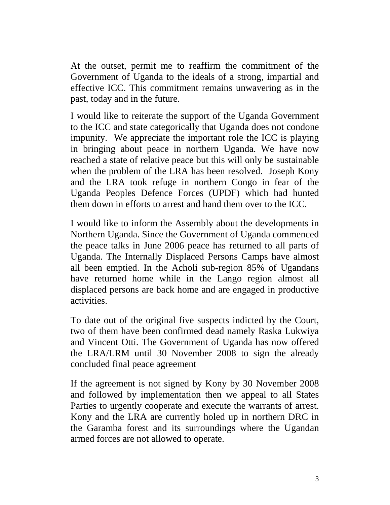At the outset, permit me to reaffirm the commitment of the Government of Uganda to the ideals of a strong, impartial and effective ICC. This commitment remains unwavering as in the past, today and in the future.

I would like to reiterate the support of the Uganda Government to the ICC and state categorically that Uganda does not condone impunity. We appreciate the important role the ICC is playing in bringing about peace in northern Uganda. We have now reached a state of relative peace but this will only be sustainable when the problem of the LRA has been resolved. Joseph Kony and the LRA took refuge in northern Congo in fear of the Uganda Peoples Defence Forces (UPDF) which had hunted them down in efforts to arrest and hand them over to the ICC.

I would like to inform the Assembly about the developments in Northern Uganda. Since the Government of Uganda commenced the peace talks in June 2006 peace has returned to all parts of Uganda. The Internally Displaced Persons Camps have almost all been emptied. In the Acholi sub-region 85% of Ugandans have returned home while in the Lango region almost all displaced persons are back home and are engaged in productive activities.

To date out of the original five suspects indicted by the Court, two of them have been confirmed dead namely Raska Lukwiya and Vincent Otti. The Government of Uganda has now offered the LRA/LRM until 30 November 2008 to sign the already concluded final peace agreement

If the agreement is not signed by Kony by 30 November 2008 and followed by implementation then we appeal to all States Parties to urgently cooperate and execute the warrants of arrest. Kony and the LRA are currently holed up in northern DRC in the Garamba forest and its surroundings where the Ugandan armed forces are not allowed to operate.